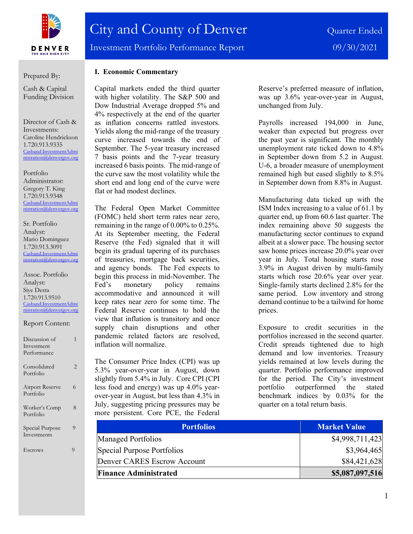

Prepared By:

Cash & Capital Funding Division

Director of Cash & Investments: Caroline Hendrickson 1.720.913.9335 [Cashand.InvestmentAdmi](mailto:Cashand.InvestmentAdministration@denvergov.org) [nistration@denvergov.org](mailto:Cashand.InvestmentAdministration@denvergov.org)

Portfolio Administrator: Gregory T. King 1.720.913.9348 [Cashand.InvestmentAdmi](mailto:Cashand.InvestmentAdministration@denvergov.org) [nistration@denvergov.org](mailto:Cashand.InvestmentAdministration@denvergov.org)

Sr. Portfolio Analyst: Mario Dominguez 1.720.913.3091 [Cashand.InvestmentAdmi](mailto:Cashand.InvestmentAdministration@denvergov.org) [nistration@denvergov.org](mailto:Cashand.InvestmentAdministration@denvergov.org)

Assoc. Portfolio Analyst: Siye Desta 1.720.913.9510 [Cashand.InvestmentAdmi](mailto:Cashand.InvestmentAdministration@denvergov.org) [nistration@denvergov.org](mailto:Cashand.InvestmentAdministration@denvergov.org)

| <b>Report Content:</b> |  |
|------------------------|--|
|------------------------|--|

 $D$ isquesion  $-\epsilon$ 

| ельсизмон от<br>Investment<br>Performance | ш |
|-------------------------------------------|---|
| Consolidated<br>Portfolio                 | 2 |
| <b>Airport Reserve</b><br>Portfolio       | 6 |
| Worker's Comp<br>Portfolio                | 8 |
| Special Purpose<br>Investments            | 9 |
| Escrows                                   | q |

## **I. Economic Commentary**

Capital markets ended the third quarter with higher volatility. The S&P 500 and Dow Industrial Average dropped 5% and 4% respectively at the end of the quarter as inflation concerns rattled investors. Yields along the mid-range of the treasury curve increased towards the end of September. The 5-year treasury increased 7 basis points and the 7-year treasury increased 6 basis points. The mid-range of the curve saw the most volatility while the short end and long end of the curve were flat or had modest declines.

The Federal Open Market Committee (FOMC) held short term rates near zero, remaining in the range of 0.00% to 0.25%. At its September meeting, the Federal Reserve (the Fed) signaled that it will begin its gradual tapering of its purchases of treasuries, mortgage back securities, and agency bonds. The Fed expects to begin this process in mid-November. The Fed's monetary policy remains accommodative and announced it will keep rates near zero for some time. The Federal Reserve continues to hold the view that inflation is transitory and once supply chain disruptions and other pandemic related factors are resolved, inflation will normalize.

The Consumer Price Index (CPI) was up 5.3% year-over-year in August, down slightly from 5.4% in July. Core CPI (CPI less food and energy) was up 4.0% yearover-year in August, but less than 4.3% in July, suggesting pricing pressures may be more persistent. Core PCE, the Federal

Reserve's preferred measure of inflation, was up 3.6% year-over-year in August, unchanged from July.

Payrolls increased 194,000 in June, weaker than expected but progress over the past year is significant. The monthly unemployment rate ticked down to 4.8% in September down from 5.2 in August. U-6, a broader measure of unemployment remained high but eased slightly to 8.5% in September down from 8.8% in August.

Manufacturing data ticked up with the ISM Index increasing to a value of 61.1 by quarter end, up from 60.6 last quarter. The index remaining above 50 suggests the manufacturing sector continues to expand albeit at a slower pace. The housing sector saw home prices increase 20.0% year over year in July. Total housing starts rose 3.9% in August driven by multi-family starts which rose 20.6% year over year. Single-family starts declined 2.8% for the same period. Low inventory and strong demand continue to be a tailwind for home prices.

Exposure to credit securities in the portfolios increased in the second quarter. Credit spreads tightened due to high demand and low inventories. Treasury yields remained at low levels during the quarter. Portfolio performance improved for the period. The City's investment portfolio outperformed the stated benchmark indices by 0.03% for the quarter on a total return basis.

| <b>Portfolios</b>            | <b>Market Value</b> |
|------------------------------|---------------------|
| Managed Portfolios           | \$4,998,711,423     |
| Special Purpose Portfolios   | \$3,964,465         |
| Denver CARES Escrow Account  | \$84,421,628        |
| <b>Finance Administrated</b> | \$5,087,097,516     |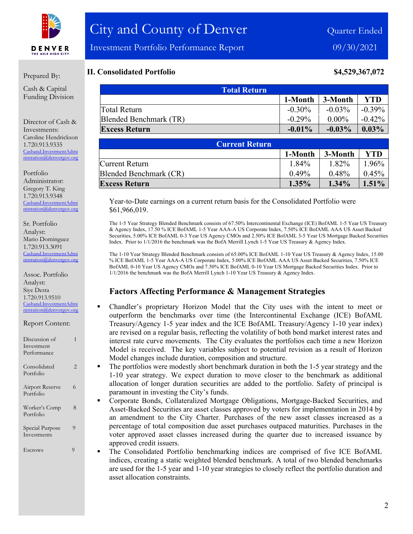

#### Prepared By:

Cash & Capital Funding Division

Director of Cash & Investments: Caroline Hendrickson 1.720.913.9335 [Cashand.InvestmentAdmi](mailto:Cashand.InvestmentAdministration@denvergov.org) [nistration@denvergov.org](mailto:Cashand.InvestmentAdministration@denvergov.org)

Portfolio Administrator: Gregory T. King 1.720.913.9348 [Cashand.InvestmentAdmi](mailto:Cashand.InvestmentAdministration@denvergov.org) [nistration@denvergov.org](mailto:Cashand.InvestmentAdministration@denvergov.org)

Sr. Portfolio Analyst: Mario Dominguez 1.720.913.3091 [Cashand.InvestmentAdmi](mailto:Cashand.InvestmentAdministration@denvergov.org) [nistration@denvergov.org](mailto:Cashand.InvestmentAdministration@denvergov.org)

Assoc. Portfolio Analyst: Siye Desta 1.720.913.9510 [Cashand.InvestmentAdmi](mailto:Cashand.InvestmentAdministration@denvergov.org) [nistration@denvergov.org](mailto:Cashand.InvestmentAdministration@denvergov.org)

| Discussion of |  |
|---------------|--|
| Investment    |  |
| Performance   |  |
|               |  |
| Consolidated  |  |

Report Content:

## Airport Reserve 6 Portfolio Worker's Comp 8

Portfolio

Portfolio Special Purpose 9 Investments

Escrows 9

## **II. Consolidated Portfolio \$4,529,367,072**

| <b>Total Return</b>    |           |           |           |  |
|------------------------|-----------|-----------|-----------|--|
|                        | 1-Month   | 3-Month   | YTD       |  |
| Total Return           | $-0.30\%$ | $-0.03\%$ | $-0.39\%$ |  |
| Blended Benchmark (TR) | $-0.29\%$ | $0.00\%$  | $-0.42\%$ |  |
| <b>Excess Return</b>   | $-0.01\%$ | $-0.03\%$ | $0.03\%$  |  |

| <b>Current Return</b>  |          |          |          |  |
|------------------------|----------|----------|----------|--|
|                        | 1-Month  | 3-Month  | YTD      |  |
| Current Return         | 1.84%    | 1.82%    | 1.96%    |  |
| Blended Benchmark (CR) | $0.49\%$ | $0.48\%$ | $0.45\%$ |  |
| <b>Excess Return</b>   | $1.35\%$ | $1.34\%$ | $1.51\%$ |  |

Year-to-Date earnings on a current return basis for the Consolidated Portfolio were \$61,966,019.

The 1-5 Year Strategy Blended Benchmark consists of 67.50% Intercontinental Exchange (ICE) BofAML 1-5 Year US Treasury & Agency Index, 17.50 % ICE BofAML 1-5 Year AAA-A US Corporate Index, 7.50% ICE BofAML AAA US Asset Backed Securities, 5.00% ICE BofAML 0-3 Year US Agency CMOs and 2.50% ICE BofAML 3-5 Year US Mortgage Backed Securities Index. Prior to 1/1/2016 the benchmark was the BofA Merrill Lynch 1-5 Year US Treasury & Agency Index.

The 1-10 Year Strategy Blended Benchmark consists of 65.00% ICE BofAML 1-10 Year US Treasury & Agency Index, 15.00 % ICE BofAML 1-5 Year AAA-A US Corporate Index, 5.00% ICE BofAML AAA US Asset Backed Securities, 7.50% ICE BofAML 0-10 Year US Agency CMOs and 7.50% ICE BofAML 0-10 Year US Mortgage Backed Securities Index. Prior to 1/1/2016 the benchmark was the BofA Merrill Lynch 1-10 Year US Treasury & Agency Index.

### **Factors Affecting Performance & Management Strategies**

- Chandler's proprietary Horizon Model that the City uses with the intent to meet or outperform the benchmarks over time (the Intercontinental Exchange (ICE) BofAML Treasury/Agency 1-5 year index and the ICE BofAML Treasury/Agency 1-10 year index) are revised on a regular basis, reflecting the volatility of both bond market interest rates and interest rate curve movements. The City evaluates the portfolios each time a new Horizon Model is received. The key variables subject to potential revision as a result of Horizon Model changes include duration, composition and structure.
- The portfolios were modestly short benchmark duration in both the 1-5 year strategy and the 1-10 year strategy. We expect duration to move closer to the benchmark as additional allocation of longer duration securities are added to the portfolio. Safety of principal is paramount in investing the City's funds.
- Corporate Bonds, Collateralized Mortgage Obligations, Mortgage-Backed Securities, and Asset-Backed Securities are asset classes approved by voters for implementation in 2014 by an amendment to the City Charter. Purchases of the new asset classes increased as a percentage of total composition due asset purchases outpaced maturities. Purchases in the voter approved asset classes increased during the quarter due to increased issuance by approved credit issuers.
- The Consolidated Portfolio benchmarking indices are comprised of five ICE BofAML indices, creating a static weighted blended benchmark. A total of two blended benchmarks are used for the 1-5 year and 1-10 year strategies to closely reflect the portfolio duration and asset allocation constraints.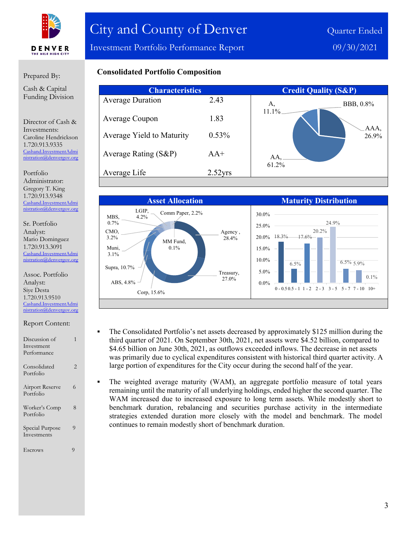

Investment Portfolio Performance Report 09/30/2021

#### Prepared By:

Cash & Capital Funding Division

Director of Cash & Investments: Caroline Hendrickson 1.720.913.9335 [Cashand.InvestmentAdmi](mailto:Cashand.InvestmentAdministration@denvergov.org) [nistration@denvergov.org](mailto:Cashand.InvestmentAdministration@denvergov.org)

Portfolio Administrator: Gregory T. King 1.720.913.9348 [Cashand.InvestmentAdmi](mailto:Cashand.InvestmentAdministration@denvergov.org) [nistration@denvergov.org](mailto:Cashand.InvestmentAdministration@denvergov.org)

Sr. Portfolio Analyst: Mario Dominguez 1.720.913.3091 [Cashand.InvestmentAdmi](mailto:Cashand.InvestmentAdministration@denvergov.org) [nistration@denvergov.org](mailto:Cashand.InvestmentAdministration@denvergov.org)

Assoc. Portfolio Analyst: Siye Desta 1.720.913.9510 [Cashand.InvestmentAdmi](mailto:Cashand.InvestmentAdministration@denvergov.org) [nistration@denvergov.org](mailto:Cashand.InvestmentAdministration@denvergov.org)

| Report Content: |
|-----------------|
|-----------------|

| Discussion of                       |   |
|-------------------------------------|---|
| Investment                          |   |
| Performance                         |   |
| Consolidated<br>Portfolio           | 2 |
| <b>Airport Reserve</b><br>Portfolio | 6 |
| Worker's Comp<br>Portfolio          | 8 |
| Special Purpose<br>Investments      | 9 |
| <b>Escrows</b>                      | 9 |

## **Consolidated Portfolio Composition**

| <b>Characteristics</b>    |            |              | <b>Credit Quality (S&amp;P)</b> |
|---------------------------|------------|--------------|---------------------------------|
| <b>Average Duration</b>   | 2.43       | А,           | BBB, 0.8%                       |
| Average Coupon            | 1.83       | 11.1%        |                                 |
| Average Yield to Maturity | 0.53%      |              | AAA,<br>26.9%                   |
| Average Rating (S&P)      | $AA+$      | AA,<br>61.2% |                                 |
| Average Life              | $2.52$ yrs |              |                                 |



 The Consolidated Portfolio's net assets decreased by approximately \$125 million during the third quarter of 2021. On September 30th, 2021, net assets were \$4.52 billion, compared to \$4.65 billion on June 30th, 2021, as outflows exceeded inflows. The decrease in net assets was primarily due to cyclical expenditures consistent with historical third quarter activity. A large portion of expenditures for the City occur during the second half of the year.

 The weighted average maturity (WAM), an aggregate portfolio measure of total years remaining until the maturity of all underlying holdings, ended higher the second quarter. The WAM increased due to increased exposure to long term assets. While modestly short to benchmark duration, rebalancing and securities purchase activity in the intermediate strategies extended duration more closely with the model and benchmark. The model continues to remain modestly short of benchmark duration.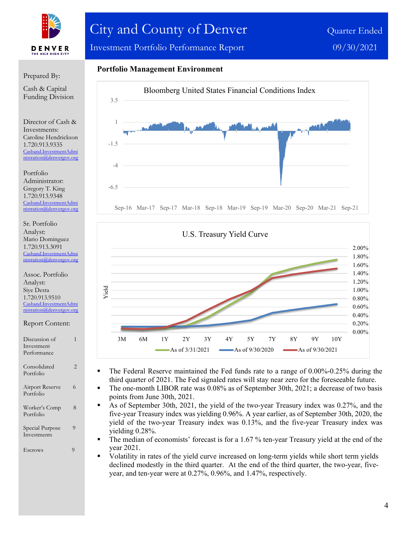

# City and County of Denver Quarter Ended

Investment Portfolio Performance Report 09/30/2021

Prepared By:

Cash & Capital Funding Division

Director of Cash & Investments: Caroline Hendrickson 1.720.913.9335 [Cashand.InvestmentAdmi](mailto:Cashand.InvestmentAdministration@denvergov.org) [nistration@denvergov.org](mailto:Cashand.InvestmentAdministration@denvergov.org)

Portfolio Administrator: Gregory T. King 1.720.913.9348 [Cashand.InvestmentAdmi](mailto:Cashand.InvestmentAdministration@denvergov.org) [nistration@denvergov.org](mailto:Cashand.InvestmentAdministration@denvergov.org)

Sr. Portfolio Analyst: Mario Dominguez 1.720.913.3091 [Cashand.InvestmentAdmi](mailto:Cashand.InvestmentAdministration@denvergov.org) tration@denvergov.org

Assoc. Portfolio Analyst: Siye Desta 1.720.913.9510 [Cashand.InvestmentAdmi](mailto:Cashand.InvestmentAdministration@denvergov.org) [nistration@denvergov.org](mailto:Cashand.InvestmentAdministration@denvergov.org)

Report Content:

Discussion of 1 Investment Performance Consolidated 2 Portfolio Airport Reserve 6 Portfolio Worker's Comp 8 Portfolio Special Purpose 9 Investments Escrows 9

## **Portfolio Management Environment**





- The Federal Reserve maintained the Fed funds rate to a range of 0.00%-0.25% during the third quarter of 2021. The Fed signaled rates will stay near zero for the foreseeable future.
- The one-month LIBOR rate was 0.08% as of September 30th, 2021; a decrease of two basis points from June 30th, 2021.
- As of September 30th, 2021, the yield of the two-year Treasury index was 0.27%, and the five-year Treasury index was yielding 0.96%. A year earlier, as of September 30th, 2020, the yield of the two-year Treasury index was 0.13%, and the five-year Treasury index was yielding 0.28%.
- The median of economists' forecast is for a 1.67 % ten-year Treasury yield at the end of the year 2021.
- Volatility in rates of the yield curve increased on long-term yields while short term yields declined modestly in the third quarter. At the end of the third quarter, the two-year, fiveyear, and ten-year were at 0.27%, 0.96%, and 1.47%, respectively.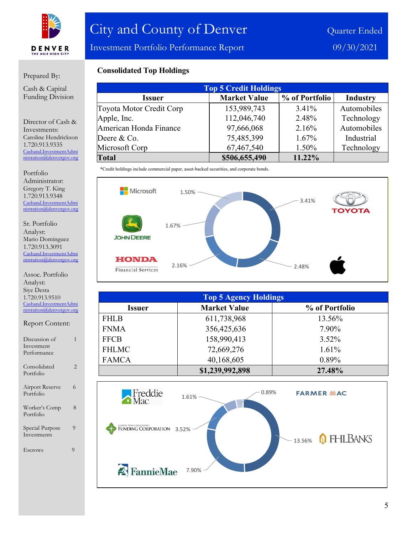

Investment Portfolio Performance Report 09/30/2021

#### Prepared By:

Cash & Capital Funding Division

Director of Cash & Investments: Caroline Hendrickson 1.720.913.9335 [Cashand.InvestmentAdmi](mailto:Cashand.InvestmentAdministration@denvergov.org) [nistration@denvergov.org](mailto:Cashand.InvestmentAdministration@denvergov.org)

Portfolio Administrator: Gregory T. King 1.720.913.9348 [Cashand.InvestmentAdmi](mailto:Cashand.InvestmentAdministration@denvergov.org) [nistration@denvergov.org](mailto:Cashand.InvestmentAdministration@denvergov.org)

Sr. Portfolio Analyst: Mario Dominguez 1.720.913.3091 [Cashand.InvestmentAdmi](mailto:Cashand.InvestmentAdministration@denvergov.org) [nistration@denvergov.org](mailto:Cashand.InvestmentAdministration@denvergov.org)

Assoc. Portfolio Analyst: Siye Desta 1.720.913.9510 [Cashand.InvestmentAdmi](mailto:Cashand.InvestmentAdministration@denvergov.org) [nistration@denvergov.org](mailto:Cashand.InvestmentAdministration@denvergov.org)

Report Content: Discussion of 1 Investment Performance Consolidated 2 Portfolio Airport Reserve 6 Portfolio Worker's Comp 8 Portfolio Special Purpose 9 Investments Escrows 9

## **Consolidated Top Holdings**

| <b>Top 5 Credit Holdings</b> |                     |                |                 |  |
|------------------------------|---------------------|----------------|-----------------|--|
| <b>Issuer</b>                | <b>Market Value</b> | % of Portfolio | <b>Industry</b> |  |
| Toyota Motor Credit Corp     | 153,989,743         | $3.41\%$       | Automobiles     |  |
| Apple, Inc.                  | 112,046,740         | 2.48%          | Technology      |  |
| American Honda Finance       | 97,666,068          | 2.16%          | Automobiles     |  |
| Deere & Co.                  | 75,485,399          | $1.67\%$       | Industrial      |  |
| Microsoft Corp               | 67,467,540          | 1.50%          | Technology      |  |
| <b>Total</b>                 | \$506,655,490       | 11.22%         |                 |  |

\*Credit holdings include commercial paper, asset-backed securities, and corporate bonds.



| <b>Top 5 Agency Holdings</b> |                     |                |  |  |
|------------------------------|---------------------|----------------|--|--|
| <b>Issuer</b>                | <b>Market Value</b> | % of Portfolio |  |  |
| <b>FHLB</b>                  | 611,738,968         | 13.56%         |  |  |
| <b>FNMA</b>                  | 356,425,636         | 7.90%          |  |  |
| <b>FFCB</b>                  | 158,990,413         | $3.52\%$       |  |  |
| <b>FHLMC</b>                 | 72,669,276          | 1.61%          |  |  |
| <b>FAMCA</b>                 | 40,168,605          | $0.89\%$       |  |  |
|                              | \$1,239,992,898     | 27.48%         |  |  |

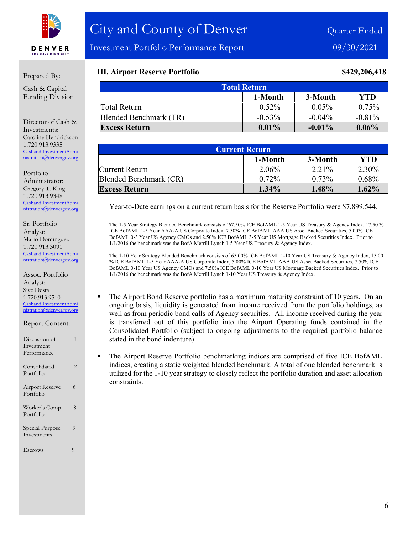

Investment Portfolio Performance Report 09/30/2021

#### Prepared By:

Cash & Capital Funding Division

Director of Cash & Investments: Caroline Hendrickson 1.720.913.9335 [Cashand.InvestmentAdmi](mailto:Cashand.InvestmentAdministration@denvergov.org) [nistration@denvergov.org](mailto:Cashand.InvestmentAdministration@denvergov.org)

Portfolio Administrator: Gregory T. King 1.720.913.9348 [Cashand.InvestmentAdmi](mailto:Cashand.InvestmentAdministration@denvergov.org) [nistration@denvergov.org](mailto:Cashand.InvestmentAdministration@denvergov.org)

Sr. Portfolio Analyst: Mario Dominguez 1.720.913.3091 [Cashand.InvestmentAdmi](mailto:Cashand.InvestmentAdministration@denvergov.org) [nistration@denvergov.org](mailto:Cashand.InvestmentAdministration@denvergov.org)

Assoc. Portfolio Analyst: Siye Desta 1.720.913.9510 [Cashand.InvestmentAdmi](mailto:Cashand.InvestmentAdministration@denvergov.org) [nistration@denvergov.org](mailto:Cashand.InvestmentAdministration@denvergov.org)

Report Content:

| Discussion of<br>Investment<br>Performance | 1              |
|--------------------------------------------|----------------|
| Consolidated<br>Portfolio                  | $\overline{2}$ |
| <b>Airport Reserve</b><br>Portfolio        | 6              |
| Worker's Comp<br>Portfolio                 | 8              |
| Special Purpose<br>Investments             | 9              |
| Escrows                                    | 9              |

## **III. Airport Reserve Portfolio \$429,206,418**

| <b>Total Return</b>    |           |           |            |
|------------------------|-----------|-----------|------------|
|                        | 1-Month   | 3-Month   | <b>YTD</b> |
| Total Return           | $-0.52\%$ | $-0.05\%$ | $-0.75%$   |
| Blended Benchmark (TR) | $-0.53\%$ | $-0.04\%$ | $-0.81\%$  |
| <b>Excess Return</b>   | $0.01\%$  | $-0.01\%$ | $0.06\%$   |

| <b>Current Return</b>  |          |          |          |
|------------------------|----------|----------|----------|
|                        | 1-Month  | 3-Month  | YTD      |
| Current Return         | 2.06%    | 2.21%    | 2.30%    |
| Blended Benchmark (CR) | $0.72\%$ | $0.73\%$ | 0.68%    |
| <b>Excess Return</b>   | $1.34\%$ | 1.48%    | $1.62\%$ |

Year-to-Date earnings on a current return basis for the Reserve Portfolio were \$7,899,544.

The 1-5 Year Strategy Blended Benchmark consists of 67.50% ICE BofAML 1-5 Year US Treasury & Agency Index, 17.50 % ICE BofAML 1-5 Year AAA-A US Corporate Index, 7.50% ICE BofAML AAA US Asset Backed Securities, 5.00% ICE BofAML 0-3 Year US Agency CMOs and 2.50% ICE BofAML 3-5 Year US Mortgage Backed Securities Index. Prior to 1/1/2016 the benchmark was the BofA Merrill Lynch 1-5 Year US Treasury & Agency Index.

The 1-10 Year Strategy Blended Benchmark consists of 65.00% ICE BofAML 1-10 Year US Treasury & Agency Index, 15.00 % ICE BofAML 1-5 Year AAA-A US Corporate Index, 5.00% ICE BofAML AAA US Asset Backed Securities, 7.50% ICE BofAML 0-10 Year US Agency CMOs and 7.50% ICE BofAML 0-10 Year US Mortgage Backed Securities Index. Prior to 1/1/2016 the benchmark was the BofA Merrill Lynch 1-10 Year US Treasury & Agency Index.

- The Airport Bond Reserve portfolio has a maximum maturity constraint of 10 years. On an ongoing basis, liquidity is generated from income received from the portfolio holdings, as well as from periodic bond calls of Agency securities. All income received during the year is transferred out of this portfolio into the Airport Operating funds contained in the Consolidated Portfolio (subject to ongoing adjustments to the required portfolio balance stated in the bond indenture).
- The Airport Reserve Portfolio benchmarking indices are comprised of five ICE BofAML indices, creating a static weighted blended benchmark. A total of one blended benchmark is utilized for the 1-10 year strategy to closely reflect the portfolio duration and asset allocation constraints.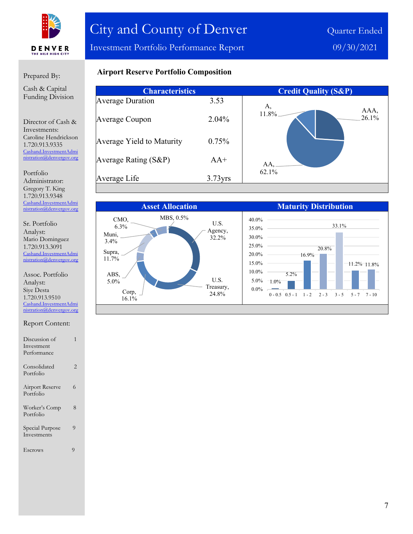

Investment Portfolio Performance Report 09/30/2021

## 

Prepared By:

Cash & Capital Funding Division

Director of Cash & Investments: Caroline Hendrickson 1.720.913.9335 [Cashand.InvestmentAdmi](mailto:Cashand.InvestmentAdministration@denvergov.org) [nistration@denvergov.org](mailto:Cashand.InvestmentAdministration@denvergov.org)

Portfolio Administrator: Gregory T. King 1.720.913.9348 [Cashand.InvestmentAdmi](mailto:Cashand.InvestmentAdministration@denvergov.org) [nistration@denvergov.org](mailto:Cashand.InvestmentAdministration@denvergov.org)

Sr. Portfolio Analyst: Mario Dominguez 1.720.913.3091 [Cashand.InvestmentAdmi](mailto:Cashand.InvestmentAdministration@denvergov.org) [nistration@denvergov.org](mailto:Cashand.InvestmentAdministration@denvergov.org)

Assoc. Portfolio Analyst: Siye Desta 1.720.913.9510 [Cashand.InvestmentAdmi](mailto:Cashand.InvestmentAdministration@denvergov.org) [nistration@denvergov.org](mailto:Cashand.InvestmentAdministration@denvergov.org)

| Report Content: |  |
|-----------------|--|
|-----------------|--|

| Discussion of                  |   |
|--------------------------------|---|
| Investment                     |   |
| Performance                    |   |
| Consolidated<br>Portfolio      | 2 |
| Airport Reserve<br>Portfolio   | 6 |
| Worker's Comp<br>Portfolio     | 8 |
| Special Purpose<br>Investments | 9 |
| Escrows                        | Q |

| <b>Airport Reserve Portfolio Composition</b> |
|----------------------------------------------|
|----------------------------------------------|

| <b>Characteristics</b>    |            | <b>Credit Quality (S&amp;P)</b> |
|---------------------------|------------|---------------------------------|
| <b>Average Duration</b>   | 3.53       | А,                              |
| Average Coupon            | 2.04%      | AAA,<br>11.8%<br>26.1%          |
| Average Yield to Maturity | 0.75%      |                                 |
| Average Rating $(S\&P)$   | $AA^+$     | AA,                             |
| Average Life              | $3.73$ yrs | 62.1%                           |

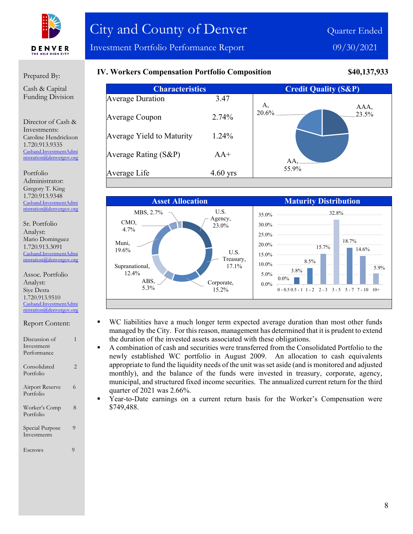

#### Prepared By:

Cash & Capital Funding Division

Director of Cash & Investments: Caroline Hendrickson 1.720.913.9335 [Cashand.InvestmentAdmi](mailto:Cashand.InvestmentAdministration@denvergov.org) [nistration@denvergov.org](mailto:Cashand.InvestmentAdministration@denvergov.org)

Portfolio Administrator: Gregory T. King 1.720.913.9348 [Cashand.InvestmentAdmi](mailto:Cashand.InvestmentAdministration@denvergov.org) [nistration@denvergov.org](mailto:Cashand.InvestmentAdministration@denvergov.org)

Sr. Portfolio Analyst: Mario Dominguez 1.720.913.3091 [Cashand.InvestmentAdmi](mailto:Cashand.InvestmentAdministration@denvergov.org) stration@denvergov.org

Assoc. Portfolio Analyst: Siye Desta 1.720.913.9510 [Cashand.InvestmentAdmi](mailto:Cashand.InvestmentAdministration@denvergov.org) [nistration@denvergov.org](mailto:Cashand.InvestmentAdministration@denvergov.org)

| <i>Report Content.</i> |  |
|------------------------|--|
| Discussion of          |  |
| Investment             |  |

Report Content:

| Performance                    |   |
|--------------------------------|---|
| Consolidated<br>Portfolio      | 2 |
| Airport Reserve<br>Portfolio   | 6 |
| Worker's Comp<br>Portfolio     | 8 |
| Special Purpose<br>Investments | 9 |
|                                |   |

Escrows 9

## **IV. Workers Compensation Portfolio Composition \$40,137,933**

| <b>Characteristics</b>    |            | <b>Credit Quality (S&amp;P)</b> |       |
|---------------------------|------------|---------------------------------|-------|
| <b>Average Duration</b>   | 3.47       | A.                              | AAA,  |
| Average Coupon            | 2.74%      | 20.6%                           | 23.5% |
| Average Yield to Maturity | 1.24%      |                                 |       |
| Average Rating (S&P)      | $AA^+$     | AA,                             |       |
| Average Life              | $4.60$ yrs | 55.9%                           |       |



- WC liabilities have a much longer term expected average duration than most other funds managed by the City. For this reason, management has determined that it is prudent to extend the duration of the invested assets associated with these obligations.
- A combination of cash and securities were transferred from the Consolidated Portfolio to the newly established WC portfolio in August 2009. An allocation to cash equivalents appropriate to fund the liquidity needs of the unit was set aside (and is monitored and adjusted monthly), and the balance of the funds were invested in treasury, corporate, agency, municipal, and structured fixed income securities. The annualized current return for the third quarter of 2021 was 2.66%.

 Year-to-Date earnings on a current return basis for the Worker's Compensation were \$749,488.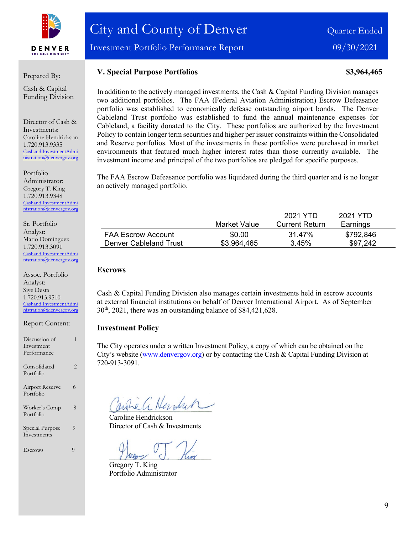

Investment Portfolio Performance Report 09/30/2021

#### Prepared By:

Cash & Capital Funding Division

Director of Cash & Investments: Caroline Hendrickson 1.720.913.9335 [Cashand.InvestmentAdmi](mailto:Cashand.InvestmentAdministration@denvergov.org) [nistration@denvergov.org](mailto:Cashand.InvestmentAdministration@denvergov.org)

Portfolio Administrator: Gregory T. King 1.720.913.9348 [Cashand.InvestmentAdmi](mailto:Cashand.InvestmentAdministration@denvergov.org) [nistration@denvergov.org](mailto:Cashand.InvestmentAdministration@denvergov.org)

Sr. Portfolio Analyst: Mario Dominguez 1.720.913.3091 [Cashand.InvestmentAdmi](mailto:Cashand.InvestmentAdministration@denvergov.org) tration@denvergov.org

Assoc. Portfolio Analyst: Siye Desta 1.720.913.9510 [Cashand.InvestmentAdmi](mailto:Cashand.InvestmentAdministration@denvergov.org) [nistration@denvergov.org](mailto:Cashand.InvestmentAdministration@denvergov.org)

Report Content:

| Discussion of                       |   |
|-------------------------------------|---|
| Investment                          |   |
| Performance                         |   |
| Consolidated<br>Portfolio           | 2 |
| <b>Airport Reserve</b><br>Portfolio | 6 |
| Worker's Comp<br>Portfolio          | 8 |
| Special Purpose<br>Investments      | 9 |
| Escrows                             | 9 |

**V. Special Purpose Portfolios 83,964,465** 

In addition to the actively managed investments, the Cash & Capital Funding Division manages two additional portfolios. The FAA (Federal Aviation Administration) Escrow Defeasance portfolio was established to economically defease outstanding airport bonds. The Denver Cableland Trust portfolio was established to fund the annual maintenance expenses for Cableland, a facility donated to the City. These portfolios are authorized by the Investment Policy to contain longer term securities and higher per issuer constraints within the Consolidated and Reserve portfolios. Most of the investments in these portfolios were purchased in market environments that featured much higher interest rates than those currently available. The investment income and principal of the two portfolios are pledged for specific purposes.

The FAA Escrow Defeasance portfolio was liquidated during the third quarter and is no longer an actively managed portfolio.

|                           |              | 2021 YTD              | 2021 YTD  |  |
|---------------------------|--------------|-----------------------|-----------|--|
|                           | Market Value | <b>Current Return</b> | Earnings  |  |
| <b>FAA Escrow Account</b> | \$0.00       | 31.47%                | \$792,846 |  |
| Denver Cableland Trust    | \$3,964,465  | 3.45%                 | \$97,242  |  |

#### **Escrows**

Cash & Capital Funding Division also manages certain investments held in escrow accounts at external financial institutions on behalf of Denver International Airport. As of September  $30<sup>th</sup>$ , 2021, there was an outstanding balance of \$84,421,628.

#### **Investment Policy**

The City operates under a written Investment Policy, a copy of which can be obtained on the City's website [\(www.denvergov.org\)](http://www.denvergov.org/) or by contacting the Cash & Capital Funding Division at 720-913-3091.

When Hendrin

Caroline Hendrickson Director of Cash & Investments

Gregory T. King Portfolio Administrator